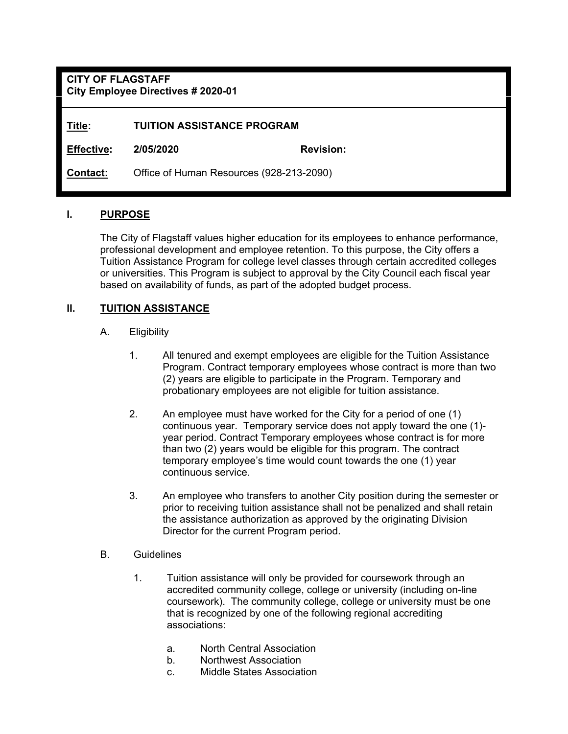**CITY OF FLAGSTAFF City Employee Directives # 2020-01** 

**Title: TUITION ASSISTANCE PROGRAM** 

**Effective: 2/05/2020 Revision:** 

**Contact:** Office of Human Resources (928-213-2090)

#### **I. PURPOSE**

 The City of Flagstaff values higher education for its employees to enhance performance, professional development and employee retention. To this purpose, the City offers a Tuition Assistance Program for college level classes through certain accredited colleges or universities. This Program is subject to approval by the City Council each fiscal year based on availability of funds, as part of the adopted budget process.

#### **II. TUITION ASSISTANCE**

- A. Eligibility
	- 1. All tenured and exempt employees are eligible for the Tuition Assistance Program. Contract temporary employees whose contract is more than two (2) years are eligible to participate in the Program. Temporary and probationary employees are not eligible for tuition assistance.
	- 2. An employee must have worked for the City for a period of one (1) continuous year. Temporary service does not apply toward the one (1) year period. Contract Temporary employees whose contract is for more than two (2) years would be eligible for this program. The contract temporary employee's time would count towards the one (1) year continuous service.
	- 3. An employee who transfers to another City position during the semester or prior to receiving tuition assistance shall not be penalized and shall retain the assistance authorization as approved by the originating Division Director for the current Program period.
- B. Guidelines
	- 1. Tuition assistance will only be provided for coursework through an accredited community college, college or university (including on-line coursework). The community college, college or university must be one that is recognized by one of the following regional accrediting associations:
		- a. North Central Association
		- b. Northwest Association
		- c. Middle States Association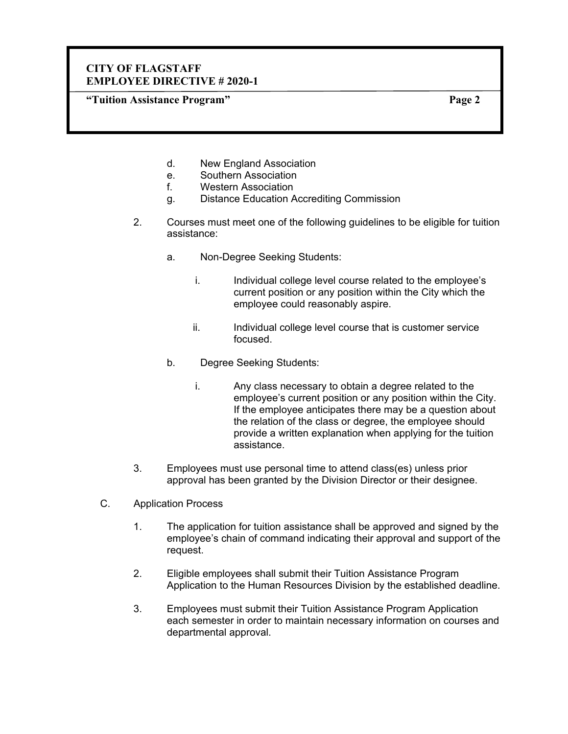**"Tuition Assistance Program" Page 2** 

- d. New England Association
- e. Southern Association
- f. Western Association
- g. Distance Education Accrediting Commission
- 2. Courses must meet one of the following guidelines to be eligible for tuition assistance:
	- a. Non-Degree Seeking Students:
		- i. Individual college level course related to the employee's current position or any position within the City which the employee could reasonably aspire.
		- ii. Individual college level course that is customer service focused.
	- b. Degree Seeking Students:
		- i. Any class necessary to obtain a degree related to the employee's current position or any position within the City. If the employee anticipates there may be a question about the relation of the class or degree, the employee should provide a written explanation when applying for the tuition assistance.
- 3. Employees must use personal time to attend class(es) unless prior approval has been granted by the Division Director or their designee.
- C. Application Process
	- 1. The application for tuition assistance shall be approved and signed by the employee's chain of command indicating their approval and support of the request.
	- 2. Eligible employees shall submit their Tuition Assistance Program Application to the Human Resources Division by the established deadline.
	- 3. Employees must submit their Tuition Assistance Program Application each semester in order to maintain necessary information on courses and departmental approval.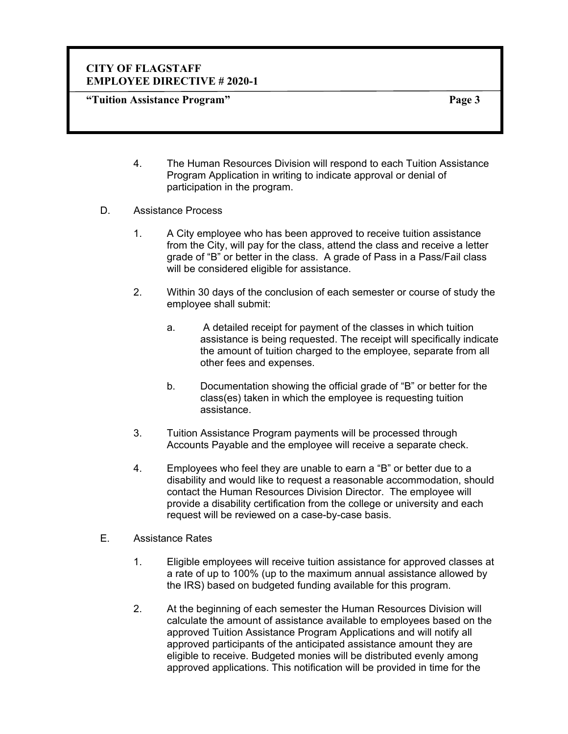**"Tuition Assistance Program" Page 3** 

- 4. The Human Resources Division will respond to each Tuition Assistance Program Application in writing to indicate approval or denial of participation in the program.
- D. Assistance Process
	- 1. A City employee who has been approved to receive tuition assistance from the City, will pay for the class, attend the class and receive a letter grade of "B" or better in the class. A grade of Pass in a Pass/Fail class will be considered eligible for assistance.
	- 2. Within 30 days of the conclusion of each semester or course of study the employee shall submit:
		- a. A detailed receipt for payment of the classes in which tuition assistance is being requested. The receipt will specifically indicate the amount of tuition charged to the employee, separate from all other fees and expenses.
		- b. Documentation showing the official grade of "B" or better for the class(es) taken in which the employee is requesting tuition assistance.
	- 3. Tuition Assistance Program payments will be processed through Accounts Payable and the employee will receive a separate check.
	- 4. Employees who feel they are unable to earn a "B" or better due to a disability and would like to request a reasonable accommodation, should contact the Human Resources Division Director. The employee will provide a disability certification from the college or university and each request will be reviewed on a case-by-case basis.
- E. Assistance Rates
	- 1. Eligible employees will receive tuition assistance for approved classes at a rate of up to 100% (up to the maximum annual assistance allowed by the IRS) based on budgeted funding available for this program.
	- 2. At the beginning of each semester the Human Resources Division will calculate the amount of assistance available to employees based on the approved Tuition Assistance Program Applications and will notify all approved participants of the anticipated assistance amount they are eligible to receive. Budgeted monies will be distributed evenly among approved applications. This notification will be provided in time for the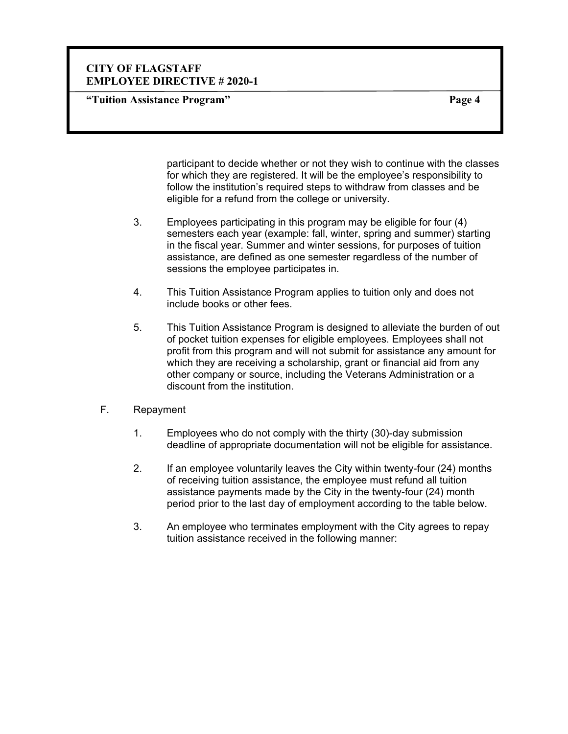**"Tuition Assistance Program" Page 4** 

participant to decide whether or not they wish to continue with the classes for which they are registered. It will be the employee's responsibility to follow the institution's required steps to withdraw from classes and be eligible for a refund from the college or university.

- 3. Employees participating in this program may be eligible for four (4) semesters each year (example: fall, winter, spring and summer) starting in the fiscal year. Summer and winter sessions, for purposes of tuition assistance, are defined as one semester regardless of the number of sessions the employee participates in.
- 4. This Tuition Assistance Program applies to tuition only and does not include books or other fees.
- 5. This Tuition Assistance Program is designed to alleviate the burden of out of pocket tuition expenses for eligible employees. Employees shall not profit from this program and will not submit for assistance any amount for which they are receiving a scholarship, grant or financial aid from any other company or source, including the Veterans Administration or a discount from the institution.
- F. Repayment
	- 1. Employees who do not comply with the thirty (30)-day submission deadline of appropriate documentation will not be eligible for assistance.
	- 2. If an employee voluntarily leaves the City within twenty-four (24) months of receiving tuition assistance, the employee must refund all tuition assistance payments made by the City in the twenty-four (24) month period prior to the last day of employment according to the table below.
	- 3. An employee who terminates employment with the City agrees to repay tuition assistance received in the following manner: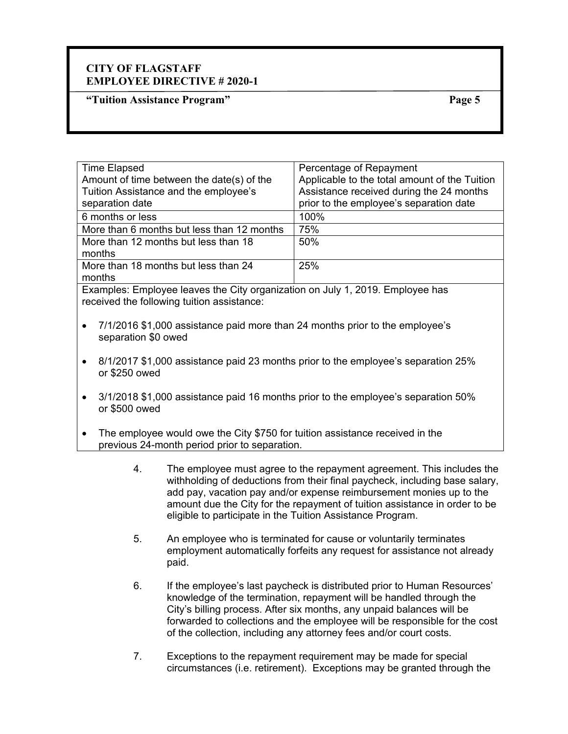**"Tuition Assistance Program" Page 5** 

| <b>Time Elapsed</b>                                                           | Percentage of Repayment                       |
|-------------------------------------------------------------------------------|-----------------------------------------------|
| Amount of time between the date(s) of the                                     | Applicable to the total amount of the Tuition |
| Tuition Assistance and the employee's                                         | Assistance received during the 24 months      |
| separation date                                                               | prior to the employee's separation date       |
| 6 months or less                                                              | 100%                                          |
| More than 6 months but less than 12 months                                    | 75%                                           |
| More than 12 months but less than 18                                          | 50%                                           |
| months                                                                        |                                               |
| More than 18 months but less than 24                                          | 25%                                           |
| months                                                                        |                                               |
| Examples: Employee leaves the City organization on July 1, 2019. Employee has |                                               |

received the following tuition assistance:

- 7/1/2016 \$1,000 assistance paid more than 24 months prior to the employee's separation \$0 owed
- 8/1/2017 \$1,000 assistance paid 23 months prior to the employee's separation 25% or \$250 owed
- 3/1/2018 \$1,000 assistance paid 16 months prior to the employee's separation 50% or \$500 owed
- The employee would owe the City \$750 for tuition assistance received in the previous 24-month period prior to separation.
	- 4. The employee must agree to the repayment agreement. This includes the withholding of deductions from their final paycheck, including base salary, add pay, vacation pay and/or expense reimbursement monies up to the amount due the City for the repayment of tuition assistance in order to be eligible to participate in the Tuition Assistance Program.
	- 5. An employee who is terminated for cause or voluntarily terminates employment automatically forfeits any request for assistance not already paid.
	- 6. If the employee's last paycheck is distributed prior to Human Resources' knowledge of the termination, repayment will be handled through the City's billing process. After six months, any unpaid balances will be forwarded to collections and the employee will be responsible for the cost of the collection, including any attorney fees and/or court costs.
	- 7. Exceptions to the repayment requirement may be made for special circumstances (i.e. retirement).Exceptions may be granted through the